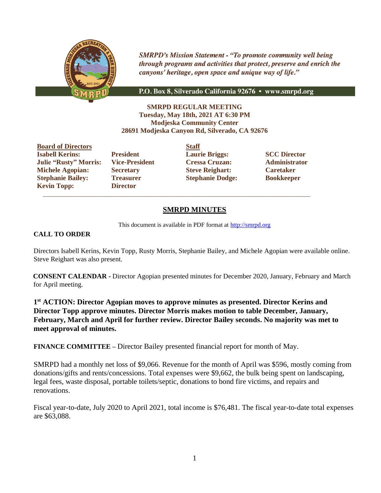

**SMRPD's Mission Statement - "To promote community well being** through programs and activities that protect, preserve and enrich the canyons' heritage, open space and unique way of life."

P.O. Box 8, Silverado California 92676 • www.smrpd.org

**SMRPD REGULAR MEETING Tuesday, May 18th, 2021 AT 6:30 PM Modjeska Community Center 28691 Modjeska Canyon Rd, Silverado, CA 92676**

**Board of Directors Staff Julie "Rusty" Morris: Vice-President Cressa Cruzan: Administrator Michele Agopian: Secretary Steve Reighart: Caretaker Stephanie Bailey: Treasurer Stephanie Dodge: Bookkeeper Kevin Topp: Director**

 $\mathcal{L}_\text{max}$  , and the set of the set of the set of the set of the set of the set of the set of the set of the set of the set of the set of the set of the set of the set of the set of the set of the set of the set of the

**Isabell Kerins: President Laurie Briggs: SCC Director** 

## **SMRPD MINUTES**

This document is available in PDF format at [http://smrpd.org](http://smrpd.org/)

#### **CALL TO ORDER**

Directors Isabell Kerins, Kevin Topp, Rusty Morris, Stephanie Bailey, and Michele Agopian were available online. Steve Reighart was also present.

**CONSENT CALENDAR -** Director Agopian presented minutes for December 2020, January, February and March for April meeting.

**1 st ACTION: Director Agopian moves to approve minutes as presented. Director Kerins and Director Topp approve minutes. Director Morris makes motion to table December, January, February, March and April for further review. Director Bailey seconds. No majority was met to meet approval of minutes.**

**FINANCE COMMITTEE –** Director Bailey presented financial report for month of May.

SMRPD had a monthly net loss of \$9,066. Revenue for the month of April was \$596, mostly coming from donations/gifts and rents/concessions. Total expenses were \$9,662, the bulk being spent on landscaping, legal fees, waste disposal, portable toilets/septic, donations to bond fire victims, and repairs and renovations.

Fiscal year-to-date, July 2020 to April 2021, total income is \$76,481. The fiscal year-to-date total expenses are \$63,088.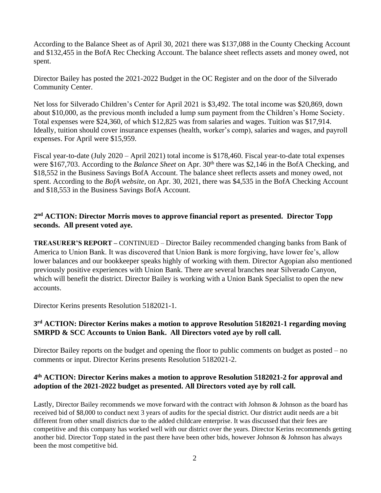According to the Balance Sheet as of April 30, 2021 there was \$137,088 in the County Checking Account and \$132,455 in the BofA Rec Checking Account. The balance sheet reflects assets and money owed, not spent.

Director Bailey has posted the 2021-2022 Budget in the OC Register and on the door of the Silverado Community Center.

Net loss for Silverado Children's Center for April 2021 is \$3,492. The total income was \$20,869, down about \$10,000, as the previous month included a lump sum payment from the Children's Home Society. Total expenses were \$24,360, of which \$12,825 was from salaries and wages. Tuition was \$17,914. Ideally, tuition should cover insurance expenses (health, worker's comp), salaries and wages, and payroll expenses. For April were \$15,959.

Fiscal year-to-date (July 2020 – April 2021) total income is \$178,460. Fiscal year-to-date total expenses were \$167,703. According to the *Balance Sheet* on Apr. 30<sup>th</sup> there was \$2,146 in the BofA Checking, and \$18,552 in the Business Savings BofA Account. The balance sheet reflects assets and money owed, not spent. According to the *BofA website*, on Apr. 30, 2021, there was \$4,535 in the BofA Checking Account and \$18,553 in the Business Savings BofA Account.

# **2 nd ACTION: Director Morris moves to approve financial report as presented. Director Topp seconds. All present voted aye.**

**TREASURER'S REPORT –** CONTINUED – Director Bailey recommended changing banks from Bank of America to Union Bank. It was discovered that Union Bank is more forgiving, have lower fee's, allow lower balances and our bookkeeper speaks highly of working with them. Director Agopian also mentioned previously positive experiences with Union Bank. There are several branches near Silverado Canyon, which will benefit the district. Director Bailey is working with a Union Bank Specialist to open the new accounts.

Director Kerins presents Resolution 5182021-1.

# **3 rd ACTION: Director Kerins makes a motion to approve Resolution 5182021-1 regarding moving SMRPD & SCC Accounts to Union Bank. All Directors voted aye by roll call.**

Director Bailey reports on the budget and opening the floor to public comments on budget as posted – no comments or input. Director Kerins presents Resolution 5182021-2.

# **4 th ACTION: Director Kerins makes a motion to approve Resolution 5182021-2 for approval and adoption of the 2021-2022 budget as presented. All Directors voted aye by roll call.**

Lastly, Director Bailey recommends we move forward with the contract with Johnson & Johnson as the board has received bid of \$8,000 to conduct next 3 years of audits for the special district. Our district audit needs are a bit different from other small districts due to the added childcare enterprise. It was discussed that their fees are competitive and this company has worked well with our district over the years. Director Kerins recommends getting another bid. Director Topp stated in the past there have been other bids, however Johnson & Johnson has always been the most competitive bid.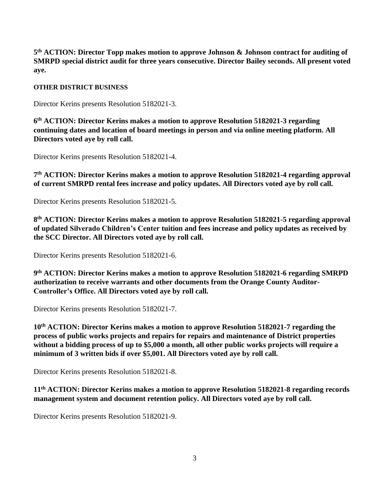**5 th ACTION: Director Topp makes motion to approve Johnson & Johnson contract for auditing of SMRPD special district audit for three years consecutive. Director Bailey seconds. All present voted aye.**

### **OTHER DISTRICT BUSINESS**

Director Kerins presents Resolution 5182021-3.

**6 th ACTION: Director Kerins makes a motion to approve Resolution 5182021-3 regarding continuing dates and location of board meetings in person and via online meeting platform. All Directors voted aye by roll call.**

Director Kerins presents Resolution 5182021-4.

**7 th ACTION: Director Kerins makes a motion to approve Resolution 5182021-4 regarding approval of current SMRPD rental fees increase and policy updates. All Directors voted aye by roll call.**

Director Kerins presents Resolution 5182021-5.

**8 th ACTION: Director Kerins makes a motion to approve Resolution 5182021-5 regarding approval of updated Silverado Children's Center tuition and fees increase and policy updates as received by the SCC Director. All Directors voted aye by roll call.**

Director Kerins presents Resolution 5182021-6.

**9 th ACTION: Director Kerins makes a motion to approve Resolution 5182021-6 regarding SMRPD authorization to receive warrants and other documents from the Orange County Auditor-Controller's Office. All Directors voted aye by roll call.**

Director Kerins presents Resolution 5182021-7.

**10th ACTION: Director Kerins makes a motion to approve Resolution 5182021-7 regarding the process of public works projects and repairs for repairs and maintenance of District properties without a bidding process of up to \$5,000 a month, all other public works projects will require a minimum of 3 written bids if over \$5,001. All Directors voted aye by roll call.**

Director Kerins presents Resolution 5182021-8.

**11th ACTION: Director Kerins makes a motion to approve Resolution 5182021-8 regarding records management system and document retention policy. All Directors voted aye by roll call.**

Director Kerins presents Resolution 5182021-9.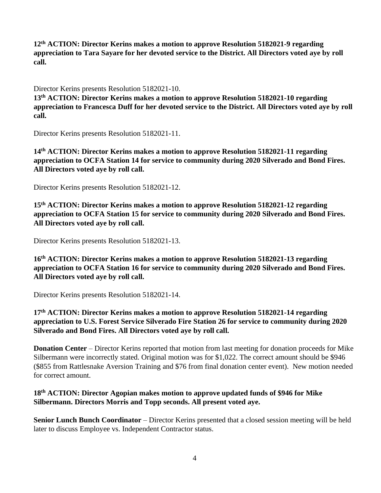**12th ACTION: Director Kerins makes a motion to approve Resolution 5182021-9 regarding appreciation to Tara Sayare for her devoted service to the District. All Directors voted aye by roll call.**

Director Kerins presents Resolution 5182021-10.

**13 th ACTION: Director Kerins makes a motion to approve Resolution 5182021-10 regarding appreciation to Francesca Duff for her devoted service to the District. All Directors voted aye by roll call.**

Director Kerins presents Resolution 5182021-11.

**14 th ACTION: Director Kerins makes a motion to approve Resolution 5182021-11 regarding appreciation to OCFA Station 14 for service to community during 2020 Silverado and Bond Fires. All Directors voted aye by roll call.**

Director Kerins presents Resolution 5182021-12.

**15 th ACTION: Director Kerins makes a motion to approve Resolution 5182021-12 regarding appreciation to OCFA Station 15 for service to community during 2020 Silverado and Bond Fires. All Directors voted aye by roll call.**

Director Kerins presents Resolution 5182021-13.

**16 th ACTION: Director Kerins makes a motion to approve Resolution 5182021-13 regarding appreciation to OCFA Station 16 for service to community during 2020 Silverado and Bond Fires. All Directors voted aye by roll call.**

Director Kerins presents Resolution 5182021-14.

**17 th ACTION: Director Kerins makes a motion to approve Resolution 5182021-14 regarding appreciation to U.S. Forest Service Silverado Fire Station 26 for service to community during 2020 Silverado and Bond Fires. All Directors voted aye by roll call.**

**Donation Center** – Director Kerins reported that motion from last meeting for donation proceeds for Mike Silbermann were incorrectly stated. Original motion was for \$1,022. The correct amount should be \$946 (\$855 from Rattlesnake Aversion Training and \$76 from final donation center event). New motion needed for correct amount.

# **18 th ACTION: Director Agopian makes motion to approve updated funds of \$946 for Mike Silbermann. Directors Morris and Topp seconds. All present voted aye.**

**Senior Lunch Bunch Coordinator** – Director Kerins presented that a closed session meeting will be held later to discuss Employee vs. Independent Contractor status.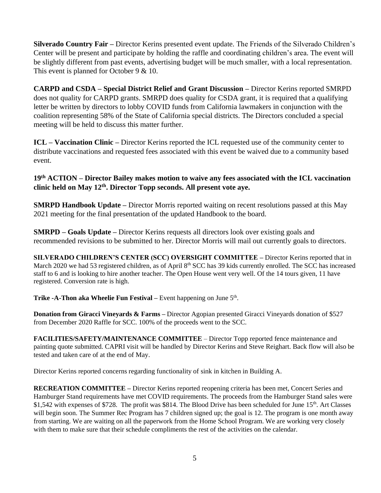**Silverado Country Fair –** Director Kerins presented event update. The Friends of the Silverado Children's Center will be present and participate by holding the raffle and coordinating children's area. The event will be slightly different from past events, advertising budget will be much smaller, with a local representation. This event is planned for October 9 & 10.

**CARPD and CSDA – Special District Relief and Grant Discussion –** Director Kerins reported SMRPD does not quality for CARPD grants. SMRPD does quality for CSDA grant, it is required that a qualifying letter be written by directors to lobby COVID funds from California lawmakers in conjunction with the coalition representing 58% of the State of California special districts. The Directors concluded a special meeting will be held to discuss this matter further.

**ICL – Vaccination Clinic –** Director Kerins reported the ICL requested use of the community center to distribute vaccinations and requested fees associated with this event be waived due to a community based event.

## **19th ACTION – Director Bailey makes motion to waive any fees associated with the ICL vaccination clinic held on May 12th. Director Topp seconds. All present vote aye.**

**SMRPD Handbook Update –** Director Morris reported waiting on recent resolutions passed at this May 2021 meeting for the final presentation of the updated Handbook to the board.

**SMRPD – Goals Update –** Director Kerins requests all directors look over existing goals and recommended revisions to be submitted to her. Director Morris will mail out currently goals to directors.

**SILVERADO CHILDREN'S CENTER (SCC) OVERSIGHT COMMITTEE –** Director Kerins reported that in March 2020 we had 53 registered children, as of April 8<sup>th</sup> SCC has 39 kids currently enrolled. The SCC has increased staff to 6 and is looking to hire another teacher. The Open House went very well. Of the 14 tours given, 11 have registered. Conversion rate is high.

**Trike -A-Thon aka Wheelie Fun Festival** – Event happening on June 5<sup>th</sup>.

**Donation from Giracci Vineyards & Farms –** Director Agopian presented Giracci Vineyards donation of \$527 from December 2020 Raffle for SCC. 100% of the proceeds went to the SCC.

**FACILITIES/SAFETY/MAINTENANCE COMMITTEE** – Director Topp reported fence maintenance and painting quote submitted. CAPRI visit will be handled by Director Kerins and Steve Reighart. Back flow will also be tested and taken care of at the end of May.

Director Kerins reported concerns regarding functionality of sink in kitchen in Building A.

**RECREATION COMMITTEE –** Director Kerins reported reopening criteria has been met, Concert Series and Hamburger Stand requirements have met COVID requirements. The proceeds from the Hamburger Stand sales were \$1,542 with expenses of \$728. The profit was \$814. The Blood Drive has been scheduled for June 15<sup>th</sup>. Art Classes will begin soon. The Summer Rec Program has 7 children signed up; the goal is 12. The program is one month away from starting. We are waiting on all the paperwork from the Home School Program. We are working very closely with them to make sure that their schedule compliments the rest of the activities on the calendar.